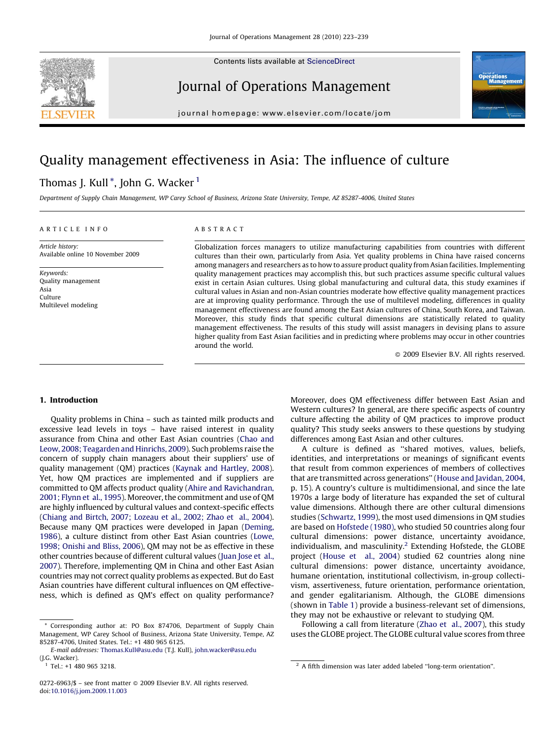

Contents lists available at [ScienceDirect](http://www.sciencedirect.com/science/journal/02726963)

# Journal of Operations Management



journal homepage: www.elsevier.com/locate/jom

## Quality management effectiveness in Asia: The influence of culture

## Thomas J. Kull<sup>\*</sup>, John G. Wacker<sup>1</sup>

Department of Supply Chain Management, WP Carey School of Business, Arizona State University, Tempe, AZ 85287-4006, United States

#### ARTICLE INFO

Article history: Available online 10 November 2009

Keywords: Quality management Asia Culture Multilevel modeling

### ABSTRACT

Globalization forces managers to utilize manufacturing capabilities from countries with different cultures than their own, particularly from Asia. Yet quality problems in China have raised concerns among managers and researchers as to how to assure product quality from Asian facilities. Implementing quality management practices may accomplish this, but such practices assume specific cultural values exist in certain Asian cultures. Using global manufacturing and cultural data, this study examines if cultural values in Asian and non-Asian countries moderate how effective quality management practices are at improving quality performance. Through the use of multilevel modeling, differences in quality management effectiveness are found among the East Asian cultures of China, South Korea, and Taiwan. Moreover, this study finds that specific cultural dimensions are statistically related to quality management effectiveness. The results of this study will assist managers in devising plans to assure higher quality from East Asian facilities and in predicting where problems may occur in other countries around the world.

 $\odot$  2009 Elsevier B.V. All rights reserved.

#### 1. Introduction

Quality problems in China – such as tainted milk products and excessive lead levels in toys – have raised interest in quality assurance from China and other East Asian countries [\(Chao and](#page--1-0) [Leow, 2008; Teagarden and Hinrichs, 2009](#page--1-0)). Such problems raise the concern of supply chain managers about their suppliers' use of quality management (QM) practices [\(Kaynak and Hartley, 2008\)](#page--1-0). Yet, how QM practices are implemented and if suppliers are committed to QM affects product quality [\(Ahire and Ravichandran,](#page--1-0) [2001; Flynn et al., 1995](#page--1-0)). Moreover, the commitment and use of QM are highly influenced by cultural values and context-specific effects ([Chiang and Birtch, 2007; Lozeau et al., 2002; Zhao et al., 2004\)](#page--1-0). Because many QM practices were developed in Japan [\(Deming,](#page--1-0) [1986\)](#page--1-0), a culture distinct from other East Asian countries ([Lowe,](#page--1-0) [1998; Onishi and Bliss, 2006](#page--1-0)), QM may not be as effective in these other countries because of different cultural values ([Juan Jose et al.,](#page--1-0) [2007](#page--1-0)). Therefore, implementing QM in China and other East Asian countries may not correct quality problems as expected. But do East Asian countries have different cultural influences on QM effectiveness, which is defined as QM's effect on quality performance?

Moreover, does QM effectiveness differ between East Asian and Western cultures? In general, are there specific aspects of country culture affecting the ability of QM practices to improve product quality? This study seeks answers to these questions by studying differences among East Asian and other cultures.

A culture is defined as ''shared motives, values, beliefs, identities, and interpretations or meanings of significant events that result from common experiences of members of collectives that are transmitted across generations'' [\(House and Javidan, 2004,](#page--1-0) p. 15). A country's culture is multidimensional, and since the late 1970s a large body of literature has expanded the set of cultural value dimensions. Although there are other cultural dimensions studies ([Schwartz, 1999](#page--1-0)), the most used dimensions in QM studies are based on [Hofstede \(1980\)](#page--1-0), who studied 50 countries along four cultural dimensions: power distance, uncertainty avoidance, individualism, and masculinity.<sup>2</sup> Extending Hofstede, the GLOBE project ([House et al., 2004](#page--1-0)) studied 62 countries along nine cultural dimensions: power distance, uncertainty avoidance, humane orientation, institutional collectivism, in-group collectivism, assertiveness, future orientation, performance orientation, and gender egalitarianism. Although, the GLOBE dimensions (shown in [Table 1](#page-1-0)) provide a business-relevant set of dimensions, they may not be exhaustive or relevant to studying QM.

Following a call from literature ([Zhao et al., 2007\)](#page--1-0), this study uses the GLOBE project. The GLOBE cultural value scores from three

Corresponding author at: PO Box 874706, Department of Supply Chain Management, WP Carey School of Business, Arizona State University, Tempe, AZ 85287-4706, United States. Tel.: +1 480 965 6125.

E-mail addresses: [Thomas.Kull@asu.edu](mailto:Thomas.Kull@asu.edu) (T.J. Kull), [john.wacker@asu.edu](mailto:john.wacker@asu.edu) (J.G. Wacker).

<sup>0272-6963/\$ –</sup> see front matter © 2009 Elsevier B.V. All rights reserved. doi:[10.1016/j.jom.2009.11.003](http://dx.doi.org/10.1016/j.jom.2009.11.003)

Tel.: +1 480 965 3218.  $2^2$  A fifth dimension was later added labeled "long-term orientation".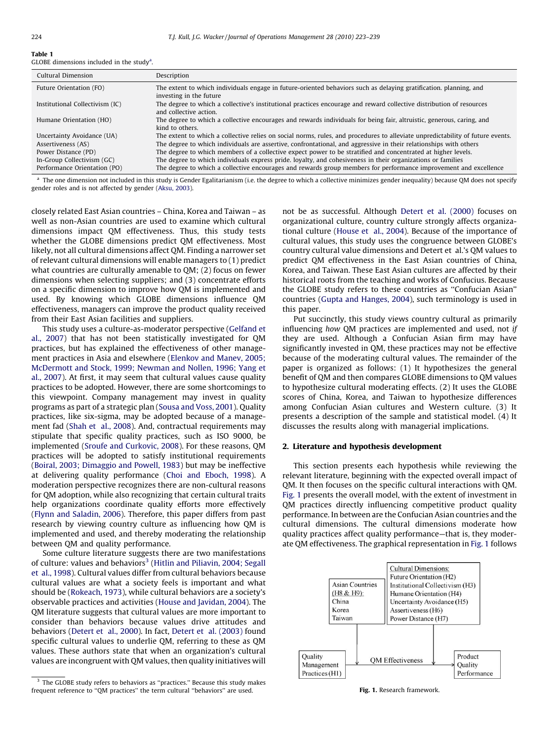<span id="page-1-0"></span>

| . |                                                       |  |  |
|---|-------------------------------------------------------|--|--|
|   | GLOBE dimensions included in the study <sup>a</sup> . |  |  |

| Cultural Dimension              | Description                                                                                                                                    |
|---------------------------------|------------------------------------------------------------------------------------------------------------------------------------------------|
| Future Orientation (FO)         | The extent to which individuals engage in future-oriented behaviors such as delaying gratification, planning, and<br>investing in the future   |
| Institutional Collectivism (IC) | The degree to which a collective's institutional practices encourage and reward collective distribution of resources<br>and collective action. |
| Humane Orientation (HO)         | The degree to which a collective encourages and rewards individuals for being fair, altruistic, generous, caring, and<br>kind to others.       |
| Uncertainty Avoidance (UA)      | The extent to which a collective relies on social norms, rules, and procedures to alleviate unpredictability of future events.                 |
| Assertiveness (AS)              | The degree to which individuals are assertive, confrontational, and aggressive in their relationships with others                              |
| Power Distance (PD)             | The degree to which members of a collective expect power to be stratified and concentrated at higher levels.                                   |
| In-Group Collectivism (GC)      | The degree to which individuals express pride, loyalty, and cohesiveness in their organizations or families                                    |
| Performance Orientation (PO)    | The degree to which a collective encourages and rewards group members for performance improvement and excellence                               |

<sup>a</sup> The one dimension not included in this study is Gender Egalitarianism (i.e. the degree to which a collective minimizes gender inequality) because QM does not specify gender roles and is not affected by gender [\(Aksu, 2003](#page--1-0)).

closely related East Asian countries – China, Korea and Taiwan – as well as non-Asian countries are used to examine which cultural dimensions impact QM effectiveness. Thus, this study tests whether the GLOBE dimensions predict QM effectiveness. Most likely, not all cultural dimensions affect QM. Finding a narrower set of relevant cultural dimensions will enable managers to (1) predict what countries are culturally amenable to QM; (2) focus on fewer dimensions when selecting suppliers; and (3) concentrate efforts on a specific dimension to improve how QM is implemented and used. By knowing which GLOBE dimensions influence QM effectiveness, managers can improve the product quality received from their East Asian facilities and suppliers.

This study uses a culture-as-moderator perspective ([Gelfand et](#page--1-0) [al., 2007](#page--1-0)) that has not been statistically investigated for QM practices, but has explained the effectiveness of other management practices in Asia and elsewhere ([Elenkov and Manev, 2005;](#page--1-0) [McDermott and Stock, 1999; Newman and Nollen, 1996; Yang et](#page--1-0) [al., 2007](#page--1-0)). At first, it may seem that cultural values cause quality practices to be adopted. However, there are some shortcomings to this viewpoint. Company management may invest in quality programs as part of a strategic plan [\(Sousa and Voss, 2001](#page--1-0)). Quality practices, like six-sigma, may be adopted because of a management fad [\(Shah et al., 2008\)](#page--1-0). And, contractual requirements may stipulate that specific quality practices, such as ISO 9000, be implemented ([Sroufe and Curkovic, 2008\)](#page--1-0). For these reasons, QM practices will be adopted to satisfy institutional requirements ([Boiral, 2003; Dimaggio and Powell, 1983](#page--1-0)) but may be ineffective at delivering quality performance [\(Choi and Eboch, 1998](#page--1-0)). A moderation perspective recognizes there are non-cultural reasons for QM adoption, while also recognizing that certain cultural traits help organizations coordinate quality efforts more effectively ([Flynn and Saladin, 2006\)](#page--1-0). Therefore, this paper differs from past research by viewing country culture as influencing how QM is implemented and used, and thereby moderating the relationship between QM and quality performance.

Some culture literature suggests there are two manifestations of culture: values and behaviors<sup>3</sup> ([Hitlin and Piliavin, 2004; Segall](#page--1-0) [et al., 1998](#page--1-0)). Cultural values differ from cultural behaviors because cultural values are what a society feels is important and what should be ([Rokeach, 1973\)](#page--1-0), while cultural behaviors are a society's observable practices and activities ([House and Javidan, 2004\)](#page--1-0). The QM literature suggests that cultural values are more important to consider than behaviors because values drive attitudes and behaviors [\(Detert et al., 2000\)](#page--1-0). In fact, [Detert et al. \(2003\)](#page--1-0) found specific cultural values to underlie QM, referring to these as QM values. These authors state that when an organization's cultural values are incongruent with QM values, then quality initiatives will not be as successful. Although [Detert et al. \(2000\)](#page--1-0) focuses on organizational culture, country culture strongly affects organizational culture ([House et al., 2004](#page--1-0)). Because of the importance of cultural values, this study uses the congruence between GLOBE's country cultural value dimensions and Detert et al.'s QM values to predict QM effectiveness in the East Asian countries of China, Korea, and Taiwan. These East Asian cultures are affected by their historical roots from the teaching and works of Confucius. Because the GLOBE study refers to these countries as ''Confucian Asian'' countries [\(Gupta and Hanges, 2004\)](#page--1-0), such terminology is used in this paper.

Put succinctly, this study views country cultural as primarily influencing how QM practices are implemented and used, not if they are used. Although a Confucian Asian firm may have significantly invested in QM, these practices may not be effective because of the moderating cultural values. The remainder of the paper is organized as follows: (1) It hypothesizes the general benefit of QM and then compares GLOBE dimensions to QM values to hypothesize cultural moderating effects. (2) It uses the GLOBE scores of China, Korea, and Taiwan to hypothesize differences among Confucian Asian cultures and Western culture. (3) It presents a description of the sample and statistical model. (4) It discusses the results along with managerial implications.

#### 2. Literature and hypothesis development

This section presents each hypothesis while reviewing the relevant literature, beginning with the expected overall impact of QM. It then focuses on the specific cultural interactions with QM. Fig. 1 presents the overall model, with the extent of investment in QM practices directly influencing competitive product quality performance. In between are the Confucian Asian countries and the cultural dimensions. The cultural dimensions moderate how quality practices affect quality performance—that is, they moderate QM effectiveness. The graphical representation in Fig. 1 follows



Fig. 1. Research framework.

<sup>&</sup>lt;sup>3</sup> The GLOBE study refers to behaviors as "practices." Because this study makes frequent reference to ''QM practices'' the term cultural ''behaviors'' are used.